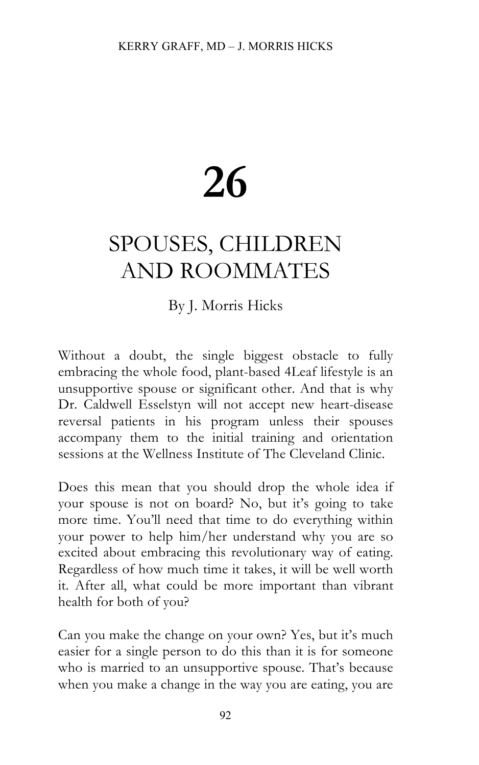## **26**

## SPOUSES, CHILDREN AND ROOMMATES

## By J. Morris Hicks

Without a doubt, the single biggest obstacle to fully embracing the whole food, plant-based 4Leaf lifestyle is an unsupportive spouse or significant other. And that is why Dr. Caldwell Esselstyn will not accept new heart-disease reversal patients in his program unless their spouses accompany them to the initial training and orientation sessions at the Wellness Institute of The Cleveland Clinic.

Does this mean that you should drop the whole idea if your spouse is not on board? No, but it's going to take more time. You'll need that time to do everything within your power to help him/her understand why you are so excited about embracing this revolutionary way of eating. Regardless of how much time it takes, it will be well worth it. After all, what could be more important than vibrant health for both of you?

Can you make the change on your own? Yes, but it's much easier for a single person to do this than it is for someone who is married to an unsupportive spouse. That's because when you make a change in the way you are eating, you are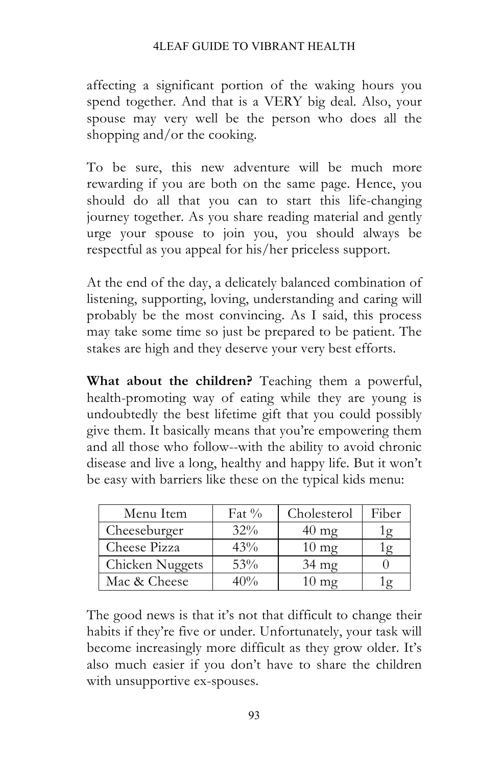## 4LEAF GUIDE TO VIBRANT HEALTH

affecting a significant portion of the waking hours you spend together. And that is a VERY big deal. Also, your spouse may very well be the person who does all the shopping and/or the cooking.

To be sure, this new adventure will be much more rewarding if you are both on the same page. Hence, you should do all that you can to start this life-changing journey together. As you share reading material and gently urge your spouse to join you, you should always be respectful as you appeal for his/her priceless support.

At the end of the day, a delicately balanced combination of listening, supporting, loving, understanding and caring will probably be the most convincing. As I said, this process may take some time so just be prepared to be patient. The stakes are high and they deserve your very best efforts.

**What about the children?** Teaching them a powerful, health-promoting way of eating while they are young is undoubtedly the best lifetime gift that you could possibly give them. It basically means that you're empowering them and all those who follow--with the ability to avoid chronic disease and live a long, healthy and happy life. But it won't be easy with barriers like these on the typical kids menu:

| Menu Item       | Fat $\%$ | Cholesterol     | Fiber |
|-----------------|----------|-----------------|-------|
| Cheeseburger    | $32\%$   | $40 \text{ mg}$ | . g   |
| Cheese Pizza    | 43%      | $10 \text{ mg}$ |       |
| Chicken Nuggets | 53%      | $34 \text{ mg}$ |       |
| Mac & Cheese    | 40%      | $10 \text{ mg}$ |       |

The good news is that it's not that difficult to change their habits if they're five or under. Unfortunately, your task will become increasingly more difficult as they grow older. It's also much easier if you don't have to share the children with unsupportive ex-spouses.